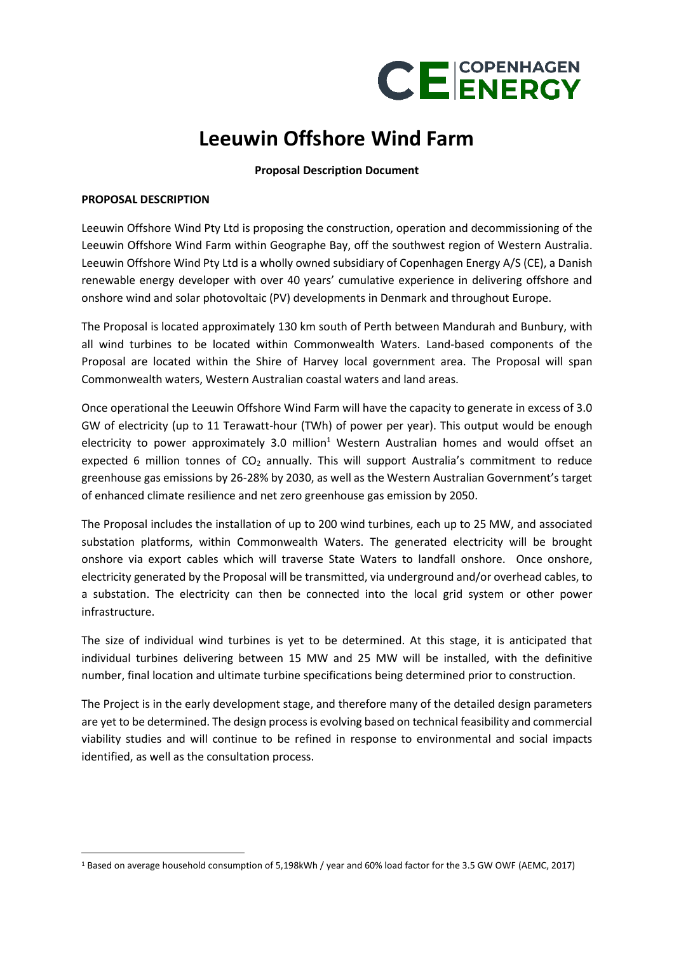

# **Leeuwin Offshore Wind Farm**

## **Proposal Description Document**

### **PROPOSAL DESCRIPTION**

Leeuwin Offshore Wind Pty Ltd is proposing the construction, operation and decommissioning of the Leeuwin Offshore Wind Farm within Geographe Bay, off the southwest region of Western Australia. Leeuwin Offshore Wind Pty Ltd is a wholly owned subsidiary of Copenhagen Energy A/S (CE), a Danish renewable energy developer with over 40 years' cumulative experience in delivering offshore and onshore wind and solar photovoltaic (PV) developments in Denmark and throughout Europe.

The Proposal is located approximately 130 km south of Perth between Mandurah and Bunbury, with all wind turbines to be located within Commonwealth Waters. Land-based components of the Proposal are located within the Shire of Harvey local government area. The Proposal will span Commonwealth waters, Western Australian coastal waters and land areas.

Once operational the Leeuwin Offshore Wind Farm will have the capacity to generate in excess of 3.0 GW of electricity (up to 11 Terawatt-hour (TWh) of power per year). This output would be enough electricity to power approximately 3.0 million<sup>1</sup> Western Australian homes and would offset an expected 6 million tonnes of  $CO<sub>2</sub>$  annually. This will support Australia's commitment to reduce greenhouse gas emissions by 26-28% by 2030, as well as the Western Australian Government's target of enhanced climate resilience and net zero greenhouse gas emission by 2050.

The Proposal includes the installation of up to 200 wind turbines, each up to 25 MW, and associated substation platforms, within Commonwealth Waters. The generated electricity will be brought onshore via export cables which will traverse State Waters to landfall onshore. Once onshore, electricity generated by the Proposal will be transmitted, via underground and/or overhead cables, to a substation. The electricity can then be connected into the local grid system or other power infrastructure.

The size of individual wind turbines is yet to be determined. At this stage, it is anticipated that individual turbines delivering between 15 MW and 25 MW will be installed, with the definitive number, final location and ultimate turbine specifications being determined prior to construction.

The Project is in the early development stage, and therefore many of the detailed design parameters are yet to be determined. The design process is evolving based on technical feasibility and commercial viability studies and will continue to be refined in response to environmental and social impacts identified, as well as the consultation process.

<sup>1</sup> Based on average household consumption of 5,198kWh / year and 60% load factor for the 3.5 GW OWF (AEMC, 2017)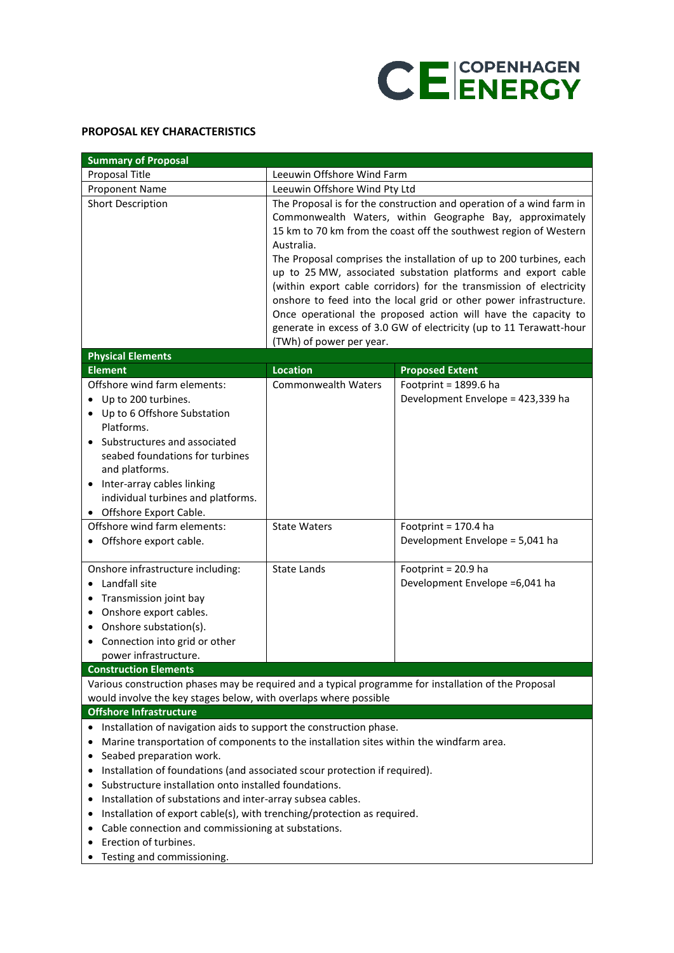

## **PROPOSAL KEY CHARACTERISTICS**

| <b>Summary of Proposal</b>                                                                           |                                                                      |                                                                     |  |  |
|------------------------------------------------------------------------------------------------------|----------------------------------------------------------------------|---------------------------------------------------------------------|--|--|
| Proposal Title                                                                                       | Leeuwin Offshore Wind Farm                                           |                                                                     |  |  |
| Proponent Name                                                                                       | Leeuwin Offshore Wind Pty Ltd                                        |                                                                     |  |  |
| <b>Short Description</b>                                                                             | The Proposal is for the construction and operation of a wind farm in |                                                                     |  |  |
|                                                                                                      | Commonwealth Waters, within Geographe Bay, approximately             |                                                                     |  |  |
|                                                                                                      | 15 km to 70 km from the coast off the southwest region of Western    |                                                                     |  |  |
|                                                                                                      | Australia.                                                           |                                                                     |  |  |
|                                                                                                      | The Proposal comprises the installation of up to 200 turbines, each  |                                                                     |  |  |
|                                                                                                      | up to 25 MW, associated substation platforms and export cable        |                                                                     |  |  |
|                                                                                                      | (within export cable corridors) for the transmission of electricity  |                                                                     |  |  |
|                                                                                                      | onshore to feed into the local grid or other power infrastructure.   |                                                                     |  |  |
|                                                                                                      |                                                                      | Once operational the proposed action will have the capacity to      |  |  |
|                                                                                                      |                                                                      | generate in excess of 3.0 GW of electricity (up to 11 Terawatt-hour |  |  |
|                                                                                                      | (TWh) of power per year.                                             |                                                                     |  |  |
| <b>Physical Elements</b>                                                                             |                                                                      |                                                                     |  |  |
| <b>Element</b>                                                                                       | <b>Location</b>                                                      | <b>Proposed Extent</b>                                              |  |  |
| Offshore wind farm elements:                                                                         | <b>Commonwealth Waters</b>                                           | Footprint = $1899.6$ ha                                             |  |  |
| Up to 200 turbines.<br>$\bullet$                                                                     |                                                                      | Development Envelope = 423,339 ha                                   |  |  |
| • Up to 6 Offshore Substation                                                                        |                                                                      |                                                                     |  |  |
| Platforms.                                                                                           |                                                                      |                                                                     |  |  |
| Substructures and associated                                                                         |                                                                      |                                                                     |  |  |
| seabed foundations for turbines                                                                      |                                                                      |                                                                     |  |  |
| and platforms.                                                                                       |                                                                      |                                                                     |  |  |
| Inter-array cables linking<br>individual turbines and platforms.                                     |                                                                      |                                                                     |  |  |
| • Offshore Export Cable.                                                                             |                                                                      |                                                                     |  |  |
| Offshore wind farm elements:                                                                         | <b>State Waters</b>                                                  | Footprint = $170.4$ ha                                              |  |  |
| • Offshore export cable.                                                                             |                                                                      | Development Envelope = 5,041 ha                                     |  |  |
|                                                                                                      |                                                                      |                                                                     |  |  |
| Onshore infrastructure including:                                                                    | <b>State Lands</b>                                                   | Footprint = 20.9 ha                                                 |  |  |
| Landfall site<br>$\bullet$                                                                           |                                                                      | Development Envelope = 6,041 ha                                     |  |  |
| Transmission joint bay<br>٠                                                                          |                                                                      |                                                                     |  |  |
| Onshore export cables.                                                                               |                                                                      |                                                                     |  |  |
| Onshore substation(s).                                                                               |                                                                      |                                                                     |  |  |
| Connection into grid or other                                                                        |                                                                      |                                                                     |  |  |
| power infrastructure.                                                                                |                                                                      |                                                                     |  |  |
| <b>Construction Elements</b>                                                                         |                                                                      |                                                                     |  |  |
| Various construction phases may be required and a typical programme for installation of the Proposal |                                                                      |                                                                     |  |  |
| would involve the key stages below, with overlaps where possible                                     |                                                                      |                                                                     |  |  |
| <b>Offshore Infrastructure</b>                                                                       |                                                                      |                                                                     |  |  |
| Installation of navigation aids to support the construction phase.                                   |                                                                      |                                                                     |  |  |
| Marine transportation of components to the installation sites within the windfarm area.              |                                                                      |                                                                     |  |  |
| Seabed preparation work.                                                                             |                                                                      |                                                                     |  |  |
| Installation of foundations (and associated scour protection if required).                           |                                                                      |                                                                     |  |  |
| Substructure installation onto installed foundations.                                                |                                                                      |                                                                     |  |  |
| Installation of substations and inter-array subsea cables.                                           |                                                                      |                                                                     |  |  |
| Installation of export cable(s), with trenching/protection as required.<br>٠                         |                                                                      |                                                                     |  |  |
| Cable connection and commissioning at substations.                                                   |                                                                      |                                                                     |  |  |
| Erection of turbines.                                                                                |                                                                      |                                                                     |  |  |
| Testing and commissioning.                                                                           |                                                                      |                                                                     |  |  |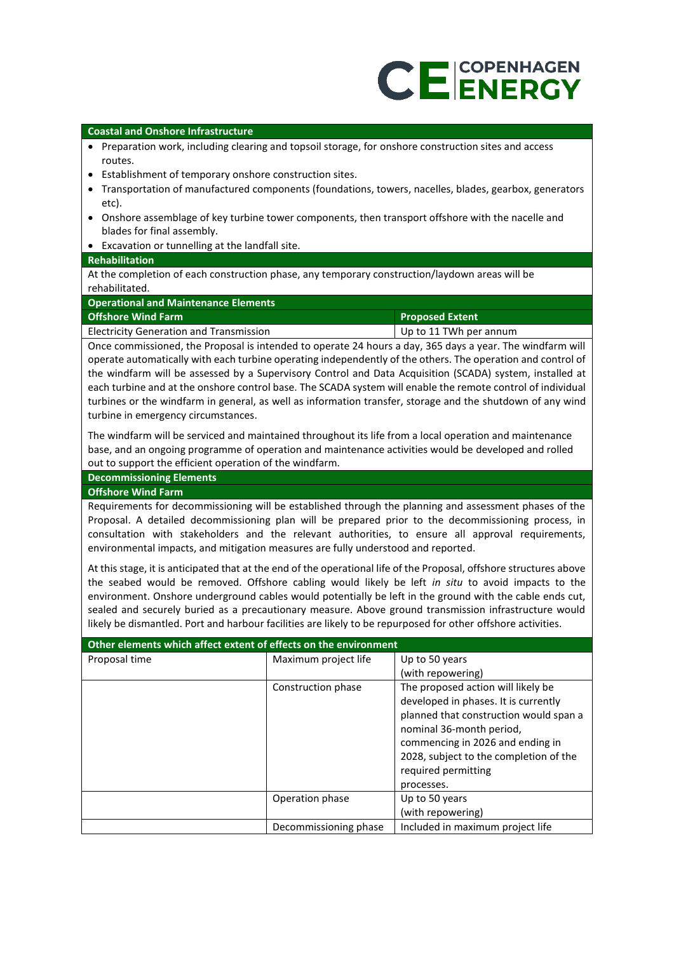# **CEENERGY**

### **Coastal and Onshore Infrastructure**

- Preparation work, including clearing and topsoil storage, for onshore construction sites and access routes.
- Establishment of temporary onshore construction sites.
- Transportation of manufactured components (foundations, towers, nacelles, blades, gearbox, generators etc).
- Onshore assemblage of key turbine tower components, then transport offshore with the nacelle and blades for final assembly.
- Excavation or tunnelling at the landfall site.

### **Rehabilitation**

At the completion of each construction phase, any temporary construction/laydown areas will be rehabilitated.

| <b>Operational and Maintenance Elements</b>    |                        |  |  |
|------------------------------------------------|------------------------|--|--|
| <b>Offshore Wind Farm</b>                      | <b>Proposed Extent</b> |  |  |
| <b>Electricity Generation and Transmission</b> | Up to 11 TWh per annum |  |  |

Once commissioned, the Proposal is intended to operate 24 hours a day, 365 days a year. The windfarm will operate automatically with each turbine operating independently of the others. The operation and control of the windfarm will be assessed by a Supervisory Control and Data Acquisition (SCADA) system, installed at each turbine and at the onshore control base. The SCADA system will enable the remote control of individual turbines or the windfarm in general, as well as information transfer, storage and the shutdown of any wind turbine in emergency circumstances.

The windfarm will be serviced and maintained throughout its life from a local operation and maintenance base, and an ongoing programme of operation and maintenance activities would be developed and rolled out to support the efficient operation of the windfarm.

### **Decommissioning Elements**

### **Offshore Wind Farm**

Requirements for decommissioning will be established through the planning and assessment phases of the Proposal. A detailed decommissioning plan will be prepared prior to the decommissioning process, in consultation with stakeholders and the relevant authorities, to ensure all approval requirements, environmental impacts, and mitigation measures are fully understood and reported.

At this stage, it is anticipated that at the end of the operational life of the Proposal, offshore structures above the seabed would be removed. Offshore cabling would likely be left *in situ* to avoid impacts to the environment. Onshore underground cables would potentially be left in the ground with the cable ends cut, sealed and securely buried as a precautionary measure. Above ground transmission infrastructure would likely be dismantled. Port and harbour facilities are likely to be repurposed for other offshore activities.

| Other elements which affect extent of effects on the environment |                       |                                        |  |
|------------------------------------------------------------------|-----------------------|----------------------------------------|--|
| Proposal time                                                    | Maximum project life  | Up to 50 years                         |  |
|                                                                  |                       | (with repowering)                      |  |
|                                                                  | Construction phase    | The proposed action will likely be     |  |
|                                                                  |                       | developed in phases. It is currently   |  |
|                                                                  |                       | planned that construction would span a |  |
|                                                                  |                       | nominal 36-month period,               |  |
|                                                                  |                       | commencing in 2026 and ending in       |  |
|                                                                  |                       | 2028, subject to the completion of the |  |
|                                                                  |                       | required permitting                    |  |
|                                                                  |                       | processes.                             |  |
|                                                                  | Operation phase       | Up to 50 years                         |  |
|                                                                  |                       | (with repowering)                      |  |
|                                                                  | Decommissioning phase | Included in maximum project life       |  |